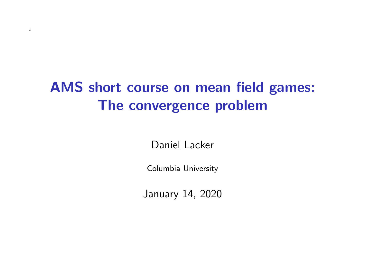# AMS short course on mean field games: The convergence problem

 $\epsilon$ 

Daniel Lacker

Columbia University

January 14, 2020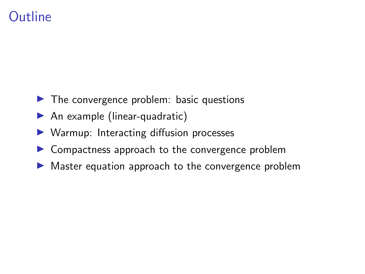# **Outline**

- $\blacktriangleright$  The convergence problem: basic questions
- $\blacktriangleright$  An example (linear-quadratic)
- $\triangleright$  Warmup: Interacting diffusion processes
- $\blacktriangleright$  Compactness approach to the convergence problem
- $\triangleright$  Master equation approach to the convergence problem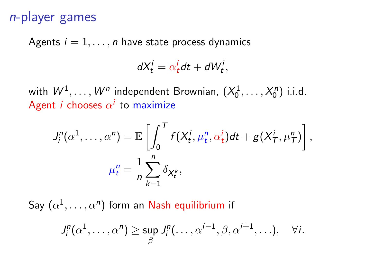### n-player games

Agents  $i = 1, \ldots, n$  have state process dynamics

$$
dX_t^i = \alpha_t^i dt + dW_t^i,
$$

with  $W^1,\ldots,W^n$  independent Brownian,  $(X_0^1,\ldots,X_0^n)$  i.i.d. Agent  $i$  chooses  $\alpha^i$  to maximize

$$
J_i^n(\alpha^1,\ldots,\alpha^n) = \mathbb{E}\left[\int_0^T f(X_t^i,\mu_t^n,\alpha_t^i)dt + g(X_T^i,\mu_T^n)\right],
$$
  

$$
\mu_t^n = \frac{1}{n}\sum_{k=1}^n \delta_{X_t^k},
$$

Say  $(\alpha^1,\ldots,\alpha^n)$  form an <mark>Nash equilibrium</mark> if

$$
J_i^n(\alpha^1,\ldots,\alpha^n) \geq \sup_{\beta} J_i^n(\ldots,\alpha^{i-1},\beta,\alpha^{i+1},\ldots), \quad \forall i.
$$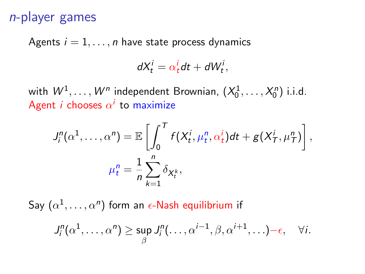### n-player games

Agents  $i = 1, \ldots, n$  have state process dynamics

$$
dX_t^i = \alpha_t^i dt + dW_t^i,
$$

with  $W^1,\ldots,W^n$  independent Brownian,  $(X_0^1,\ldots,X_0^n)$  i.i.d. Agent  $i$  chooses  $\alpha^i$  to maximize

$$
J_i^n(\alpha^1,\ldots,\alpha^n) = \mathbb{E}\left[\int_0^T f(X_t^i,\mu_t^n,\alpha_t^i)dt + g(X_T^i,\mu_T^n)\right],
$$
  

$$
\mu_t^n = \frac{1}{n}\sum_{k=1}^n \delta_{X_t^k},
$$

Say  $(\alpha^1,\ldots,\alpha^n)$  form an  $\epsilon\text{-Nash}$  equilibrium if

$$
J_i^n(\alpha^1,\ldots,\alpha^n) \geq \sup_{\beta} J_i^n(\ldots,\alpha^{i-1},\beta,\alpha^{i+1},\ldots)-\epsilon, \quad \forall i.
$$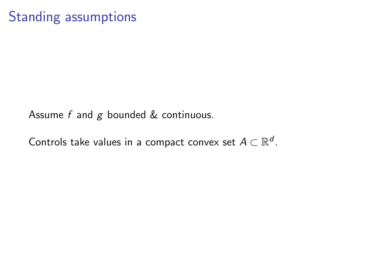# Standing assumptions

Assume  $f$  and  $g$  bounded  $\&$  continuous.

Controls take values in a compact convex set  $A \subset \mathbb{R}^d$ .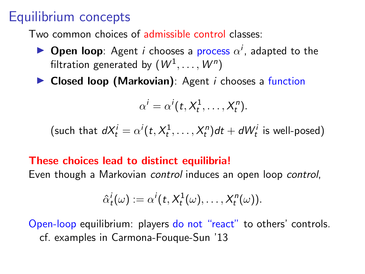# Equilibrium concepts

Two common choices of admissible control classes:

**Dpen loop**: Agent *i* chooses a process  $\alpha^{i}$ , adapted to the filtration generated by  $(W^1,\ldots,W^n)$ 

 $\triangleright$  Closed loop (Markovian): Agent *i* chooses a function

$$
\alpha^i = \alpha^i(t, X_t^1, \dots, X_t^n).
$$

(such that  $dX_t^i = \alpha^i(t, X_t^1, \ldots, X_t^n)dt + dW_t^i$  is well-posed)

#### These choices lead to distinct equilibria!

Even though a Markovian control induces an open loop control,

$$
\hat{\alpha}_t^i(\omega) := \alpha^i(t, X_t^1(\omega), \dots, X_t^n(\omega)).
$$

Open-loop equilibrium: players do not "react" to others' controls. cf. examples in Carmona-Fouque-Sun '13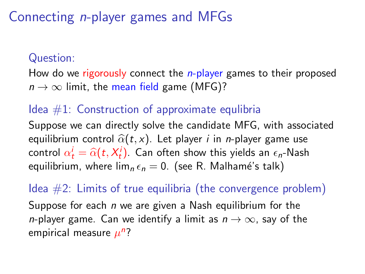# Connecting n-player games and MFGs

#### Question:

How do we rigorously connect the  $n$ -player games to their proposed  $n \to \infty$  limit, the mean field game (MFG)?

#### Idea  $#1$ : Construction of approximate equilibria

Suppose we can directly solve the candidate MFG, with associated equilibrium control  $\hat{\alpha}(t, x)$ . Let player *i* in *n*-player game use control  $\alpha_t^i = \hat{\alpha}(t, X_t^i)$ . Can often show this yields an  $\epsilon_n$ -Nash equilibrium, where  $\lim_{n \in \mathbb{N}} \epsilon_n = 0$ . (see R. Malhamé's talk)

Idea  $#2$ : Limits of true equilibria (the convergence problem) Suppose for each  $n$  we are given a Nash equilibrium for the *n*-player game. Can we identify a limit as  $n \to \infty$ , say of the empirical measure  $\mu^{n}$ ?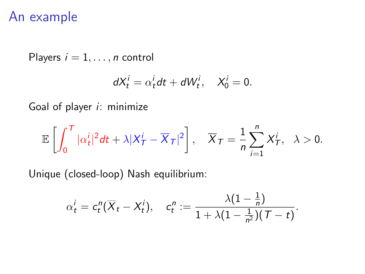Players  $i = 1, \ldots, n$  control

$$
dX_t^i = \alpha_t^i dt + dW_t^i, \quad X_0^i = 0.
$$

Goal of player i: minimize

$$
\mathbb{E}\left[\int_0^T |\alpha_t^i|^2 dt + \lambda |X_T^i - \overline{X}_T|^2\right], \quad \overline{X}_T = \frac{1}{n} \sum_{i=1}^n X_T^i, \quad \lambda > 0.
$$

Unique (closed-loop) Nash equilibrium:

$$
\alpha_t^i = c_t^n(\overline{X}_t - X_t^i), \quad c_t^n := \frac{\lambda(1 - \frac{1}{n})}{1 + \lambda(1 - \frac{1}{n^2})(T - t)}.
$$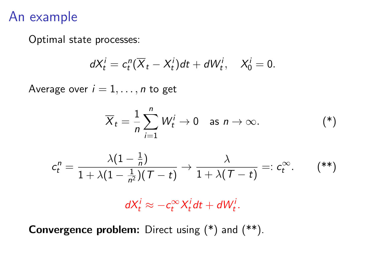Optimal state processes:

$$
dX_t^i = c_t^n(\overline{X}_t - X_t^i)dt + dW_t^i, \quad X_0^i = 0.
$$

Average over  $i = 1, \ldots, n$  to get

$$
\overline{X}_t = \frac{1}{n} \sum_{i=1}^n W_t^i \to 0 \quad \text{as } n \to \infty.
$$
 (\*)

$$
c_t^n = \frac{\lambda(1-\frac{1}{n})}{1+\lambda(1-\frac{1}{n^2})(T-t)} \to \frac{\lambda}{1+\lambda(T-t)} =: c_t^{\infty}.
$$
 (\*\*)

<span id="page-8-1"></span><span id="page-8-0"></span> $dX_t^i \approx -c_t^{\infty} X_t^i dt + dW_t^i.$ 

Convergence problem: Direct using [\(\\*\)](#page-8-0) and [\(\\*\\*\)](#page-8-1).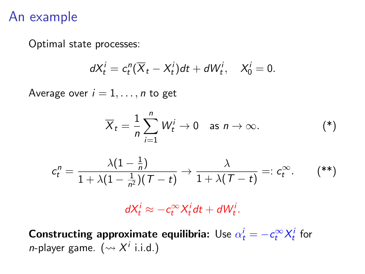Optimal state processes:

$$
dX_t^i = c_t^n (\overline{X}_t - X_t^i) dt + dW_t^i, \quad X_0^i = 0.
$$

Average over  $i = 1, \ldots, n$  to get

$$
\overline{X}_t = \frac{1}{n} \sum_{i=1}^n W_t^i \to 0 \quad \text{as } n \to \infty.
$$
 (\*)

$$
c_t^n = \frac{\lambda(1-\frac{1}{n})}{1+\lambda(1-\frac{1}{n^2})(T-t)} \to \frac{\lambda}{1+\lambda(T-t)} =: c_t^{\infty}.
$$
 (\*\*)

 $dX_t^i \approx -c_t^{\infty} X_t^i dt + dW_t^i$ .

**Constructing approximate equilibria:** Use  $\alpha_t^i = -c_t^{\infty} X_t^i$  for *n*-player game.  $(\leadsto X^i \text{ i.i.d.})$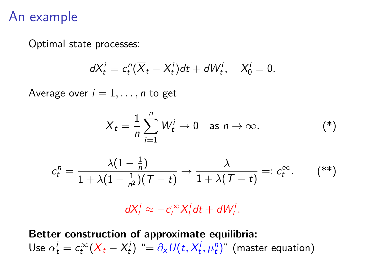Optimal state processes:

$$
dX_t^i = c_t^n (\overline{X}_t - X_t^i) dt + dW_t^i, \quad X_0^i = 0.
$$

Average over  $i = 1, \ldots, n$  to get

$$
\overline{X}_t = \frac{1}{n} \sum_{i=1}^n W_t^i \to 0 \quad \text{as } n \to \infty.
$$
 (\*)

$$
c_t^n = \frac{\lambda(1-\frac{1}{n})}{1+\lambda(1-\frac{1}{n^2})(T-t)} \to \frac{\lambda}{1+\lambda(T-t)} =: c_t^{\infty}.
$$
 (\*\*)

 $dX_t^i \approx -c_t^{\infty} X_t^i dt + dW_t^i$ .

Better construction of approximate equilibria: Use  $\alpha^i_t = c^\infty_t(\overline{X}_t - X^i_t)$  " $= \partial_x U(t, X^i_t, \mu^n_t)$ " (master equation)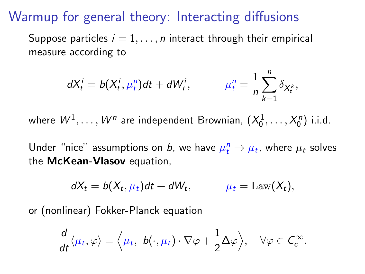# Warmup for general theory: Interacting diffusions

Suppose particles  $i = 1, \ldots, n$  interact through their empirical measure according to

$$
dX_t^i = b(X_t^i, \mu_t^n)dt + dW_t^i, \qquad \mu_t^n = \frac{1}{n}\sum_{k=1}^n \delta_{X_t^k},
$$

where  $W^1,\ldots,W^n$  are independent Brownian,  $(X_0^1,\ldots,X_0^n)$  i.i.d.

Under "nice" assumptions on *b*, we have  $\mu_t^n \to \mu_t$ , where  $\mu_t$  solves the McKean-Vlasov equation,

$$
dX_t = b(X_t, \mu_t)dt + dW_t, \qquad \mu_t = \text{Law}(X_t),
$$

or (nonlinear) Fokker-Planck equation

$$
\frac{d}{dt}\langle \mu_t, \varphi \rangle = \Big\langle \mu_t, b(\cdot, \mu_t) \cdot \nabla \varphi + \frac{1}{2} \Delta \varphi \Big\rangle, \quad \forall \varphi \in C_c^{\infty}.
$$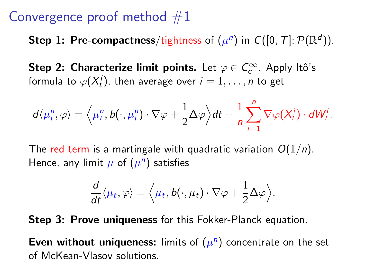### Convergence proof method  $#1$

Step 1: Pre-compactness/tightness of  $(\mu^n)$  in  $C([0, T]; \mathcal{P}(\mathbb{R}^d))$ .

Step 2: Characterize limit points. Let  $\varphi \in \mathcal{C}_c^\infty$ . Apply Itô's formula to  $\varphi(X^{i}_t)$ , then average over  $i=1,\ldots,n$  to get

$$
d\langle \mu_t^n, \varphi \rangle = \langle \mu_t^n, b(\cdot, \mu_t^n) \cdot \nabla \varphi + \frac{1}{2} \Delta \varphi \rangle dt + \frac{1}{n} \sum_{i=1}^n \nabla \varphi(X_t^i) \cdot dW_t^i.
$$

The red term is a martingale with quadratic variation  $O(1/n)$ . Hence, any limit  $\mu$  of  $(\mu^n)$  satisfies

$$
\frac{d}{dt}\langle \mu_t, \varphi \rangle = \langle \mu_t, b(\cdot, \mu_t) \cdot \nabla \varphi + \frac{1}{2} \Delta \varphi \rangle.
$$

Step 3: Prove uniqueness for this Fokker-Planck equation.

Even without uniqueness: limits of  $(\mu^n)$  concentrate on the set of McKean-Vlasov solutions.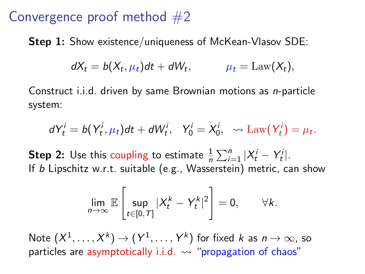# Convergence proof method  $#2$

**Step 1:** Show existence/uniqueness of McKean-Vlasov SDE:

$$
dX_t = b(X_t, \mu_t)dt + dW_t, \qquad \mu_t = \text{Law}(X_t),
$$

Construct i.i.d. driven by same Brownian motions as n-particle system:

$$
dY_t^i = b(Y_t^i, \mu_t)dt + dW_t^i, \quad Y_0^i = X_0^i, \quad \text{and} \quad Y_t^i = \mu_t.
$$

**Step 2:** Use this coupling to estimate  $\frac{1}{n} \sum_{i=1}^{n} |X_t^i - Y_t^i|$ . If b Lipschitz w.r.t. suitable (e.g., Wasserstein) metric, can show

$$
\lim_{n\to\infty}\mathbb{E}\left[\sup_{t\in[0,T]}|X_t^k-Y_t^k|^2\right]=0,\qquad\forall k.
$$

Note  $(X^1,\ldots,X^k)\rightarrow (Y^1,\ldots,Y^k)$  for fixed  $k$  as  $n\rightarrow\infty$ , so particles are asymptotically i.i.d.  $\rightarrow$  "propagation of chaos"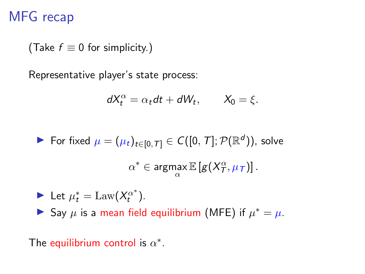# MFG recap

(Take  $f \equiv 0$  for simplicity.)

Representative player's state process:

$$
dX_t^{\alpha} = \alpha_t dt + dW_t, \qquad X_0 = \xi.
$$

► For fixed  $\mu = (\mu_t)_{t \in [0, T]} \in C([0, T]; \mathcal{P}(\mathbb{R}^d))$ , solve  $\alpha^* \in \operatorname*{argmax}_{\alpha} \mathbb{E}\left[g(X_T^{\alpha}, \mu_\mathcal{T})\right].$ 

let  $\mu_t^* = \text{Law}(X_t^{\alpha^*}).$ ► Say  $\mu$  is a mean field equilibrium (MFE) if  $\mu^* = \mu$ .

The equilibrium control is  $\alpha^*$ .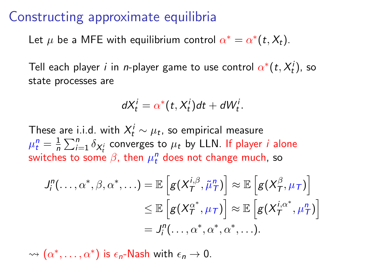#### Constructing approximate equilibria

Let  $\mu$  be a MFE with equilibrium control  $\alpha^* = \alpha^*(t, X_t)$ .

Tell each player  $i$  in  $n$ -player game to use control  $\alpha^*(t,X^i_t)$ , so state processes are

$$
dX_t^i = \alpha^*(t, X_t^i)dt + dW_t^i.
$$

These are i.i.d. with  $X_t^i \sim \mu_t$ , so empirical measure  $\mu_t^n = \frac{1}{n}$  $\frac{1}{n}\sum_{i=1}^n \delta_{X_t^i}$  converges to  $\mu_t$  by LLN. If player  $i$  alone switches to some  $\beta$ , then  $\mu_t^n$  does not change much, so

$$
J_l^n(\ldots, \alpha^*, \beta, \alpha^*, \ldots) = \mathbb{E}\left[g(X_T^{i,\beta}, \tilde{\mu}_T^n)\right] \approx \mathbb{E}\left[g(X_T^{\beta}, \mu_T)\right]
$$
  

$$
\leq \mathbb{E}\left[g(X_T^{\alpha^*}, \mu_T)\right] \approx \mathbb{E}\left[g(X_T^{i,\alpha^*}, \mu_T^n)\right]
$$
  

$$
= J_l^n(\ldots, \alpha^*, \alpha^*, \alpha^*, \ldots).
$$

 $\rightsquigarrow (\alpha^*, \dots, \alpha^*)$  is  $\epsilon_n$ -Nash with  $\epsilon_n \to 0$ .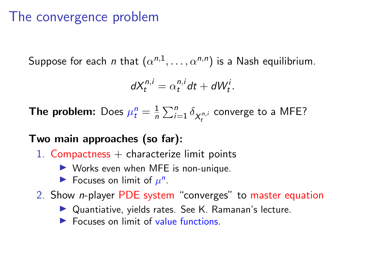# The convergence problem

Suppose for each n that  $(\alpha^{n,1},\ldots,\alpha^{n,n})$  is a Nash equilibrium.

$$
dX_t^{n,i} = \alpha_t^{n,i} dt + dW_t^i.
$$

The problem: Does  $\mu_t^n = \frac{1}{n}$  $\frac{1}{n}\sum_{i=1}^n \delta_{X^{n,i}_t}$  converge to a MFE?

#### Two main approaches (so far):

- 1. Compactness  $+$  characterize limit points
	- $\triangleright$  Works even when MFE is non-unique.
	- Focuses on limit of  $\mu^n$ .
- 2. Show n-player PDE system "converges" to master equation
	- $\blacktriangleright$  Quantiative, yields rates. See K. Ramanan's lecture.
	- $\blacktriangleright$  Focuses on limit of value functions.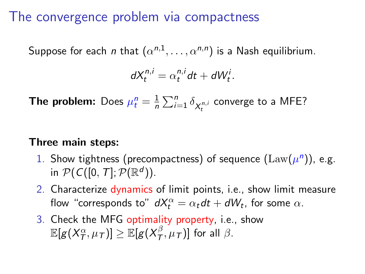Suppose for each  $n$  that  $(\alpha^{n,1},\ldots,\alpha^{n,n})$  is a Nash equilibrium.

$$
dX_t^{n,i} = \alpha_t^{n,i} dt + dW_t^i.
$$

The problem: Does  $\mu_t^n = \frac{1}{n}$  $\frac{1}{n}\sum_{i=1}^n \delta_{X^{n,i}_t}$  converge to a MFE?

#### Three main steps:

- 1. Show tightness (precompactness) of sequence  $(\text{Law}(\mu^n))$ , e.g. in  $\mathcal{P}(C([0, T]; \mathcal{P}(\mathbb{R}^d))$ .
- 2. Characterize dynamics of limit points, i.e., show limit measure flow "corresponds to"  $dX_t^{\alpha} = \alpha_t dt + dW_t$ , for some  $\alpha$ .
- 3. Check the MFG optimality property, i.e., show  $\mathbb{E}[g(X_T^{\alpha}, \mu_T)] \geq \mathbb{E}[g(X_T^{\beta}% )]^{\alpha}$  $\left[\frac{\beta}{T}, \mu_T\right]$  for all  $\beta$ .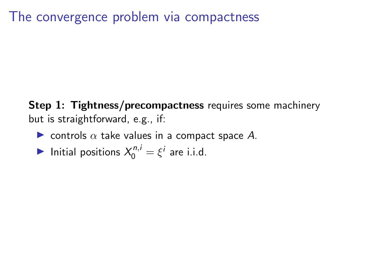Step 1: Tightness/precompactness requires some machinery but is straightforward, e.g., if:

- $\triangleright$  controls  $\alpha$  take values in a compact space A.
- Initial positions  $X_0^{n,i} = \xi^i$  are i.i.d.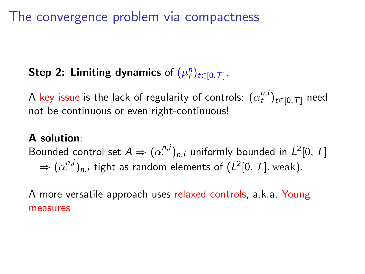# Step 2: Limiting dynamics of  $(\mu_t^n)_{t \in [0, \mathcal{T}]}$ .

A key issue is the lack of regularity of controls:  $(\alpha_t^{n,i})_{t\in[0,\mathcal{T}]}$  need not be continuous or even right-continuous!

#### A solution:

Bounded control set  $A \Rightarrow (\alpha^{n,i})_{n,i}$  uniformly bounded in  $L^2[0,T]$  $\Rightarrow$   $(\alpha^{n,i}_\cdot)_{n,i}$  tight as random elements of  $(L^2[0,\,T],\text{weak}).$ 

A more versatile approach uses relaxed controls, a.k.a. Young measures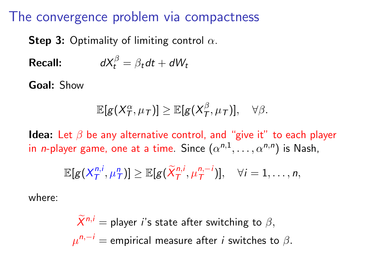**Step 3:** Optimality of limiting control  $\alpha$ .

**Recall:**  $dX_t^{\beta} = \beta_t dt + dW_t$ 

Goal: Show

$$
\mathbb{E}[g(X_T^{\alpha}, \mu_T)] \geq \mathbb{E}[g(X_T^{\beta}, \mu_T)], \quad \forall \beta.
$$

**Idea:** Let  $\beta$  be any alternative control, and "give it" to each player in *n*-player game, one at a time. Since  $(\alpha^{n,1},\ldots,\alpha^{n,n})$  is Nash,

$$
\mathbb{E}[g(X_T^{n,i}, \mu_T^n)] \geq \mathbb{E}[g(\widetilde{X}_T^{n,i}, \mu_T^{n,-i})], \quad \forall i=1,\ldots,n,
$$

where:

$$
\widetilde{X}^{n,i} = \text{player } i \text{'s state after switching to } \beta,
$$
  

$$
\mu^{n,-i} = \text{empirical measure after } i \text{ switches to } \beta.
$$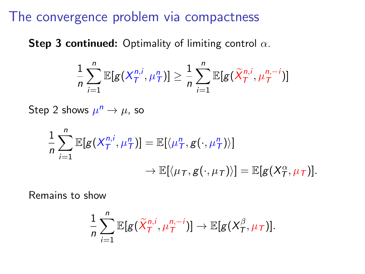Step 3 continued: Optimality of limiting control  $\alpha$ .

$$
\frac{1}{n}\sum_{i=1}^n \mathbb{E}[g(X_T^{n,i}, \mu_T^n)] \geq \frac{1}{n}\sum_{i=1}^n \mathbb{E}[g(\widetilde{X}_T^{n,i}, \mu_T^{n,-i})]
$$

Step 2 shows  $\mu^n \to \mu$ , so

$$
\frac{1}{n}\sum_{i=1}^n \mathbb{E}[g(X_T^{n,i}, \mu_T^n)] = \mathbb{E}[\langle \mu_T^n, g(\cdot, \mu_T^n) \rangle] \longrightarrow \mathbb{E}[\langle \mu_T, g(\cdot, \mu_T) \rangle] = \mathbb{E}[g(X_T^{\alpha}, \mu_T)].
$$

Remains to show

$$
\frac{1}{n}\sum_{i=1}^n \mathbb{E}[g(\widetilde{X}_T^{n,i}, \mu_T^{n,-i})] \to \mathbb{E}[g(X_T^{\beta}, \mu_T)].
$$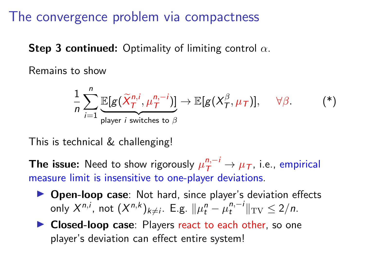Step 3 continued: Optimality of limiting control  $\alpha$ .

Remains to show

$$
\frac{1}{n}\sum_{i=1}^{n}\underbrace{\mathbb{E}[g(\widetilde{X}_{T}^{n,i},\mu_{T}^{n,-i})]}_{\text{player } i \text{ switches to }\beta} \to \mathbb{E}[g(X_{T}^{\beta},\mu_{T})], \quad \forall \beta.
$$
 (\*)

This is technical & challenging!

**The issue:** Need to show rigorously  $\mu_{\mathcal{T}}^{n,-i} \rightarrow \mu_{\mathcal{T}}$ , i.e., empirical measure limit is insensitive to one-player deviations.

- ▶ Open-loop case: Not hard, since player's deviation effects only  $X^{n,i}$ , not  $(X^{n,k})_{k \neq i}$ . E.g.  $\|\mu_t^n - \mu_t^{n,-i}\|_{\text{TV}} \leq 2/n$ .
- ▶ Closed-loop case: Players react to each other, so one player's deviation can effect entire system!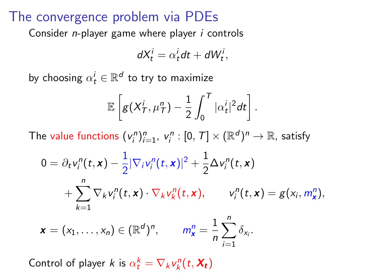### The convergence problem via PDEs

Consider n-player game where player i controls

$$
dX_t^i = \alpha_t^i dt + dW_t^i,
$$

by choosing  $\alpha^i_t \in \mathbb{R}^d$  to try to maximize

$$
\mathbb{E}\left[g(X_{\mathcal{T}}^i,\mu_{\mathcal{T}}^n)-\frac{1}{2}\int_0^{\mathcal{T}}|\alpha_t^i|^2dt\right].
$$

The value functions  $(v_i^n)_{i=1}^n$ ,  $v_i^n : [0, T] \times (\mathbb{R}^d)^n \to \mathbb{R}$ , satisfy

$$
0 = \partial_t v_i^n(t, \mathbf{x}) - \frac{1}{2} |\nabla_i v_i^n(t, \mathbf{x})|^2 + \frac{1}{2} \Delta v_i^n(t, \mathbf{x})
$$
  
+ 
$$
\sum_{k=1}^n \nabla_k v_i^n(t, \mathbf{x}) \cdot \nabla_k v_k^n(t, \mathbf{x}), \qquad v_i^n(t, \mathbf{x}) = g(x_i, m_x^n),
$$
  

$$
\mathbf{x} = (x_1, \ldots, x_n) \in (\mathbb{R}^d)^n, \qquad m_x^n = \frac{1}{2} \sum_{k=1}^n \delta_{\mathbf{x}}.
$$

$$
\mathbf{x}=(x_1,\ldots,x_n)\in (\mathbb{R}^d)^n, \qquad m_\mathbf{x}^n=\frac{1}{n}\sum_{i=1}\delta_{x_i}.
$$

Control of player k is  $\alpha_t^k = \nabla_k v_k^n(t, \boldsymbol{X_t})$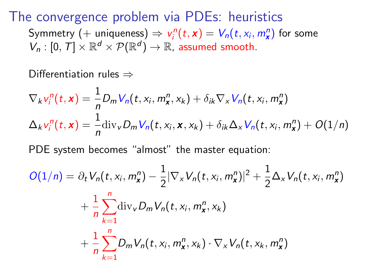#### The convergence problem via PDEs: heuristics

Symmetry  $($  + uniqueness $) \Rightarrow v_i^n(t, x) = V_n(t, x_i, m_x^n)$  for some  $V_n : [0, T] \times \mathbb{R}^d \times \mathcal{P}(\mathbb{R}^d) \rightarrow \mathbb{R}$ , assumed smooth.

Differentiation rules ⇒

$$
\nabla_k v_i^n(t, x) = \frac{1}{n} D_m V_n(t, x_i, m_x^n, x_k) + \delta_{ik} \nabla_x V_n(t, x_i, m_x^n)
$$
  

$$
\Delta_k v_i^n(t, x) = \frac{1}{n} \text{div}_v D_m V_n(t, x_i, x, x_k) + \delta_{ik} \Delta_x V_n(t, x_i, m_x^n) + O(1/n)
$$

PDE system becomes "almost" the master equation:

$$
O(1/n) = \partial_t V_n(t, x_i, m_x^n) - \frac{1}{2} |\nabla_x V_n(t, x_i, m_x^n)|^2 + \frac{1}{2} \Delta_x V_n(t, x_i, m_x^n) + \frac{1}{n} \sum_{k=1}^n \text{div}_v D_m V_n(t, x_i, m_x^n, x_k) + \frac{1}{n} \sum_{k=1}^n D_m V_n(t, x_i, m_x^n, x_k) \cdot \nabla_x V_n(t, x_k, m_x^n)
$$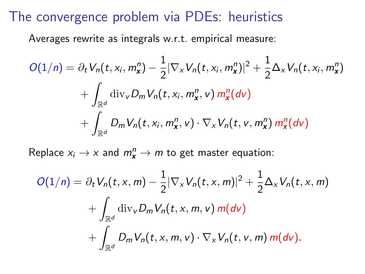## The convergence problem via PDEs: heuristics

Averages rewrite as integrals w.r.t. empirical measure:

$$
O(1/n) = \partial_t V_n(t, x_i, m_x^n) - \frac{1}{2} |\nabla_x V_n(t, x_i, m_x^n)|^2 + \frac{1}{2} \Delta_x V_n(t, x_i, m_x^n)
$$

$$
+ \int_{\mathbb{R}^d} \text{div}_V D_m V_n(t, x_i, m_x^n, v) m_x^n(dv)
$$

$$
+ \int_{\mathbb{R}^d} D_m V_n(t, x_i, m_x^n, v) \cdot \nabla_x V_n(t, v, m_x^n) m_x^n(dv)
$$

Replace  $x_i \to x$  and  $m_x^n \to m$  to get master equation:

$$
O(1/n) = \partial_t V_n(t, x, m) - \frac{1}{2} |\nabla_x V_n(t, x, m)|^2 + \frac{1}{2} \Delta_x V_n(t, x, m)
$$

$$
+ \int_{\mathbb{R}^d} \text{div}_V D_m V_n(t, x, m, v) m(dv)
$$

$$
+ \int_{\mathbb{R}^d} D_m V_n(t, x, m, v) \cdot \nabla_x V_n(t, v, m) m(dv).
$$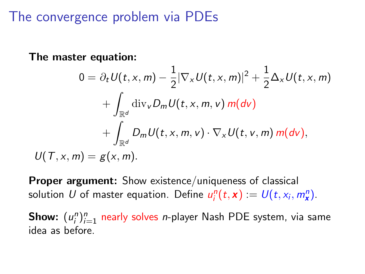The convergence problem via PDEs

The master equation:

$$
0 = \partial_t U(t, x, m) - \frac{1}{2} |\nabla_x U(t, x, m)|^2 + \frac{1}{2} \Delta_x U(t, x, m)
$$

$$
+ \int_{\mathbb{R}^d} \text{div}_v D_m U(t, x, m, v) m(dv)
$$

$$
+ \int_{\mathbb{R}^d} D_m U(t, x, m, v) \cdot \nabla_x U(t, v, m) m(dv),
$$

$$
U(T, x, m) = g(x, m).
$$

Proper argument: Show existence/uniqueness of classical solution U of master equation. Define  $u_i^n(t, x) := U(t, x_i, m_x^n)$ .

**Show:**  $(u_i^n)_{i=1}^n$  nearly solves *n*-player Nash PDE system, via same idea as before.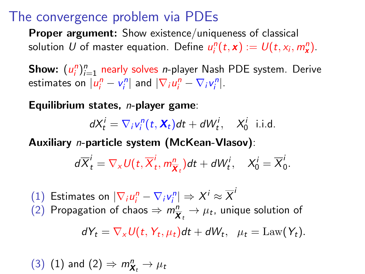### The convergence problem via PDEs

Proper argument: Show existence/uniqueness of classical solution U of master equation. Define  $u_i^n(t, x) := U(t, x_i, m_x^n)$ .

**Show:**  $(u_i^n)_{i=1}^n$  nearly solves *n*-player Nash PDE system. Derive estimates on  $|u_i^n - v_i^n|$  and  $|\nabla_i u_i^n - \nabla_i v_i^n|$ .

Equilibrium states, n-player game:

 $dX_t^i = \nabla_i v_i^n(t, \mathbf{X}_t) dt + dW_t^i$ ,  $X_0^i$  i.i.d.

Auxiliary n-particle system (McKean-Vlasov):

$$
d\overline{X}^i_t = \nabla_x U(t, \overline{X}^i_t, m^n_{\overline{X}_t}) dt + dW^i_t, \quad X^i_0 = \overline{X}^i_0.
$$

(1) Estimates on  $|\nabla_i u_i^n - \nabla_i v_i^n| \Rightarrow X^i \approx \overline{X}^i$ (2) Propagation of chaos  $\Rightarrow m_{\overline{X}_t}^n \rightarrow \mu_t$ , unique solution of  $dY_t = \nabla_X U(t, Y_t, \mu_t)dt + dW_t, \quad \mu_t = \text{Law}(Y_t).$ 

(3) (1) and (2)  $\Rightarrow$   $m_{\mathbf{X}_{t}}^{n} \rightarrow \mu_{t}$